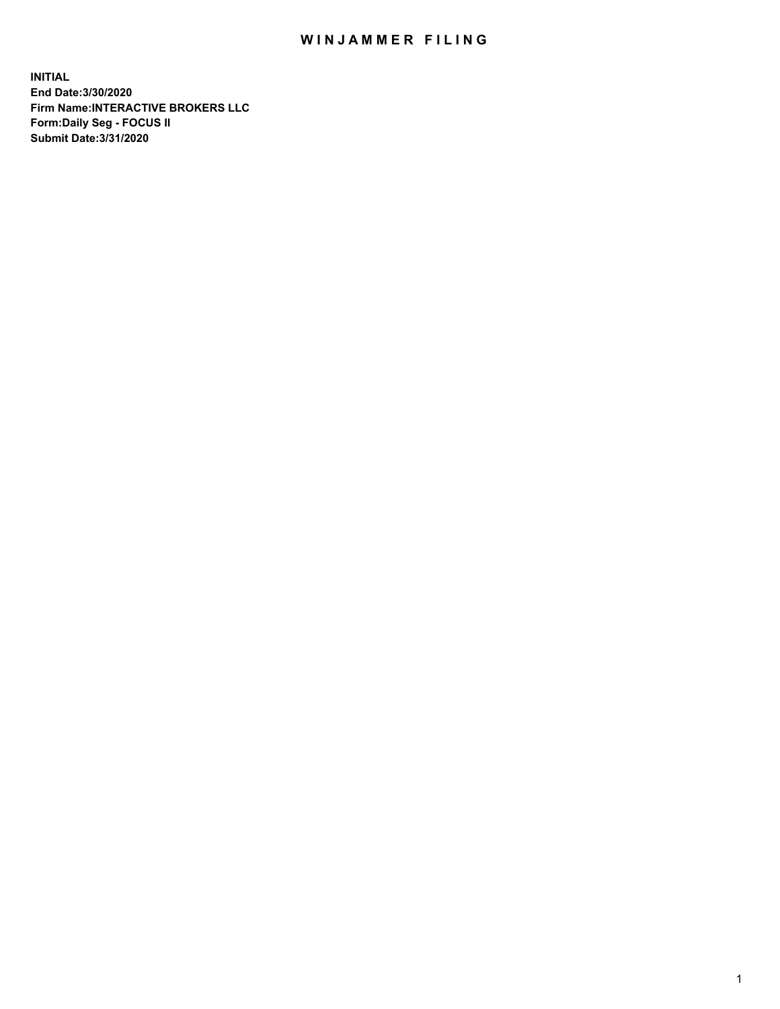## WIN JAMMER FILING

**INITIAL End Date:3/30/2020 Firm Name:INTERACTIVE BROKERS LLC Form:Daily Seg - FOCUS II Submit Date:3/31/2020**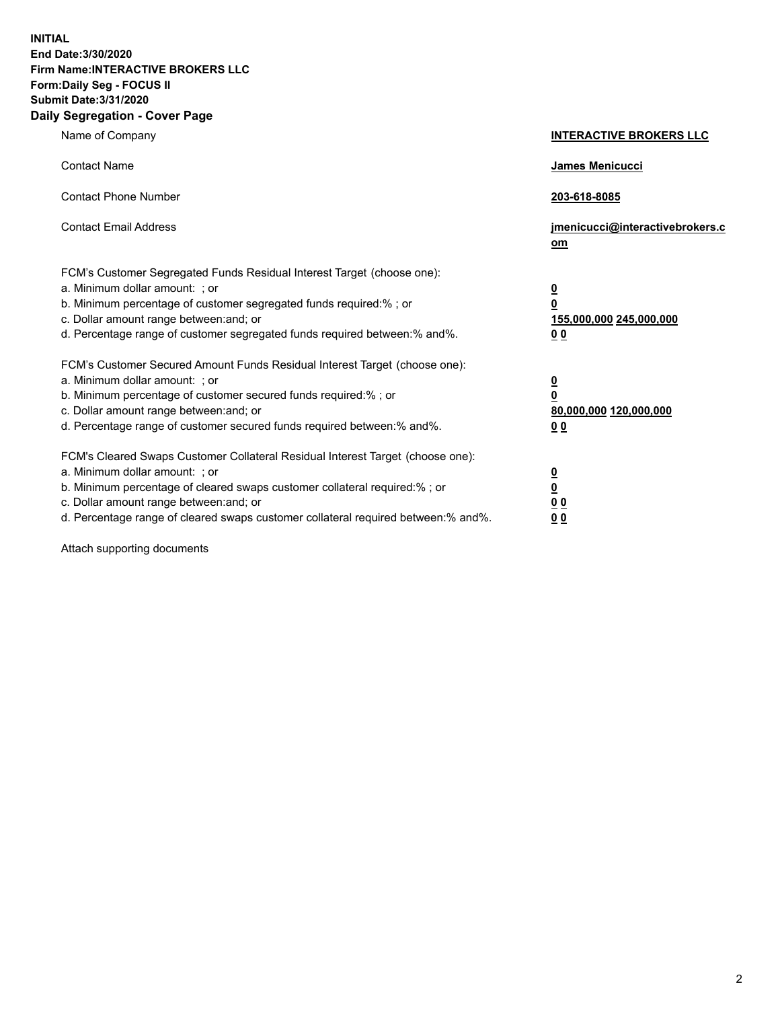**INITIAL End Date:3/30/2020 Firm Name:INTERACTIVE BROKERS LLC Form:Daily Seg - FOCUS II Submit Date:3/31/2020 Daily Segregation - Cover Page**

| Name of Company                                                                                                                                                                                                                                                                                                                | <b>INTERACTIVE BROKERS LLC</b>                                                   |
|--------------------------------------------------------------------------------------------------------------------------------------------------------------------------------------------------------------------------------------------------------------------------------------------------------------------------------|----------------------------------------------------------------------------------|
| <b>Contact Name</b>                                                                                                                                                                                                                                                                                                            | James Menicucci                                                                  |
| <b>Contact Phone Number</b>                                                                                                                                                                                                                                                                                                    | 203-618-8085                                                                     |
| <b>Contact Email Address</b>                                                                                                                                                                                                                                                                                                   | jmenicucci@interactivebrokers.c<br>om                                            |
| FCM's Customer Segregated Funds Residual Interest Target (choose one):<br>a. Minimum dollar amount: ; or<br>b. Minimum percentage of customer segregated funds required:% ; or<br>c. Dollar amount range between: and; or<br>d. Percentage range of customer segregated funds required between:% and%.                         | <u>0</u><br>$\overline{\mathbf{0}}$<br>155,000,000 245,000,000<br>0 <sub>0</sub> |
| FCM's Customer Secured Amount Funds Residual Interest Target (choose one):<br>a. Minimum dollar amount: ; or<br>b. Minimum percentage of customer secured funds required:% ; or<br>c. Dollar amount range between: and; or<br>d. Percentage range of customer secured funds required between:% and%.                           | <u>0</u><br>$\overline{\mathbf{0}}$<br>80,000,000 120,000,000<br>0 <sub>0</sub>  |
| FCM's Cleared Swaps Customer Collateral Residual Interest Target (choose one):<br>a. Minimum dollar amount: ; or<br>b. Minimum percentage of cleared swaps customer collateral required:% ; or<br>c. Dollar amount range between: and; or<br>d. Percentage range of cleared swaps customer collateral required between:% and%. | <u>0</u><br>$\underline{\mathbf{0}}$<br>0 <sub>0</sub><br>0 <sub>0</sub>         |

Attach supporting documents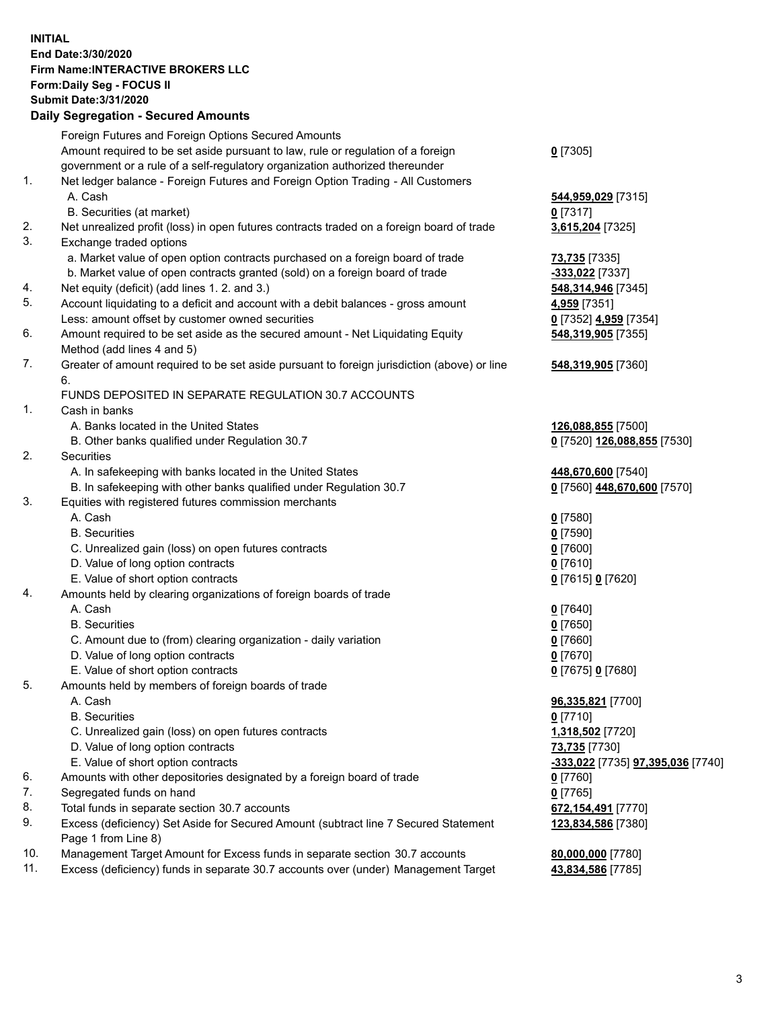**INITIAL End Date:3/30/2020 Firm Name:INTERACTIVE BROKERS LLC Form:Daily Seg - FOCUS II Submit Date:3/31/2020 Daily Segregation - Secured Amounts**

|                | <u>ssentanten soodisatunsen m</u>                                                                          |                                   |
|----------------|------------------------------------------------------------------------------------------------------------|-----------------------------------|
|                | Foreign Futures and Foreign Options Secured Amounts                                                        |                                   |
|                | Amount required to be set aside pursuant to law, rule or regulation of a foreign                           | $0$ [7305]                        |
|                | government or a rule of a self-regulatory organization authorized thereunder                               |                                   |
| $\mathbf{1}$ . | Net ledger balance - Foreign Futures and Foreign Option Trading - All Customers                            |                                   |
|                | A. Cash                                                                                                    | 544,959,029 [7315]                |
|                | B. Securities (at market)                                                                                  | $0$ [7317]                        |
| 2.             | Net unrealized profit (loss) in open futures contracts traded on a foreign board of trade                  | 3,615,204 [7325]                  |
| 3.             | Exchange traded options                                                                                    |                                   |
|                | a. Market value of open option contracts purchased on a foreign board of trade                             | <b>73,735</b> [7335]              |
|                | b. Market value of open contracts granted (sold) on a foreign board of trade                               | -333,022 [7337]                   |
| 4.             | Net equity (deficit) (add lines 1. 2. and 3.)                                                              | 548, 314, 946 [7345]              |
| 5.             | Account liquidating to a deficit and account with a debit balances - gross amount                          | 4,959 [7351]                      |
|                | Less: amount offset by customer owned securities                                                           | 0 [7352] 4,959 [7354]             |
| 6.             | Amount required to be set aside as the secured amount - Net Liquidating Equity                             | 548,319,905 [7355]                |
|                | Method (add lines 4 and 5)                                                                                 |                                   |
| 7.             | Greater of amount required to be set aside pursuant to foreign jurisdiction (above) or line<br>6.          | 548,319,905 [7360]                |
|                | FUNDS DEPOSITED IN SEPARATE REGULATION 30.7 ACCOUNTS                                                       |                                   |
| $\mathbf{1}$ . | Cash in banks                                                                                              |                                   |
|                | A. Banks located in the United States                                                                      | 126,088,855 [7500]                |
|                | B. Other banks qualified under Regulation 30.7                                                             | 0 [7520] 126,088,855 [7530]       |
| 2.             | Securities                                                                                                 |                                   |
|                | A. In safekeeping with banks located in the United States                                                  | 448,670,600 [7540]                |
|                | B. In safekeeping with other banks qualified under Regulation 30.7                                         | 0 [7560] 448,670,600 [7570]       |
| 3.             | Equities with registered futures commission merchants                                                      |                                   |
|                | A. Cash                                                                                                    | $0$ [7580]                        |
|                | <b>B.</b> Securities                                                                                       | $0$ [7590]                        |
|                | C. Unrealized gain (loss) on open futures contracts                                                        | $0$ [7600]                        |
|                | D. Value of long option contracts                                                                          | $0$ [7610]                        |
|                | E. Value of short option contracts                                                                         | 0 [7615] 0 [7620]                 |
| 4.             | Amounts held by clearing organizations of foreign boards of trade                                          |                                   |
|                | A. Cash                                                                                                    | $0$ [7640]                        |
|                | <b>B.</b> Securities                                                                                       | $0$ [7650]                        |
|                | C. Amount due to (from) clearing organization - daily variation                                            | $0$ [7660]                        |
|                | D. Value of long option contracts                                                                          | $0$ [7670]                        |
|                | E. Value of short option contracts                                                                         | 0 [7675] 0 [7680]                 |
| 5.             | Amounts held by members of foreign boards of trade                                                         |                                   |
|                | A. Cash                                                                                                    | 96,335,821 [7700]                 |
|                | <b>B.</b> Securities                                                                                       | $0$ [7710]                        |
|                | C. Unrealized gain (loss) on open futures contracts                                                        | 1,318,502 [7720]                  |
|                | D. Value of long option contracts                                                                          | 73,735 [7730]                     |
|                | E. Value of short option contracts                                                                         | -333,022 [7735] 97,395,036 [7740] |
| 6.             | Amounts with other depositories designated by a foreign board of trade                                     | $0$ [7760]                        |
| 7.             | Segregated funds on hand                                                                                   | $0$ [7765]                        |
| 8.             | Total funds in separate section 30.7 accounts                                                              | 672,154,491 [7770]                |
| 9.             | Excess (deficiency) Set Aside for Secured Amount (subtract line 7 Secured Statement<br>Page 1 from Line 8) | 123,834,586 [7380]                |
| 10.            | Management Target Amount for Excess funds in separate section 30.7 accounts                                | 80,000,000 [7780]                 |
| 11.            | Excess (deficiency) funds in separate 30.7 accounts over (under) Management Target                         | 43,834,586 [7785]                 |
|                |                                                                                                            |                                   |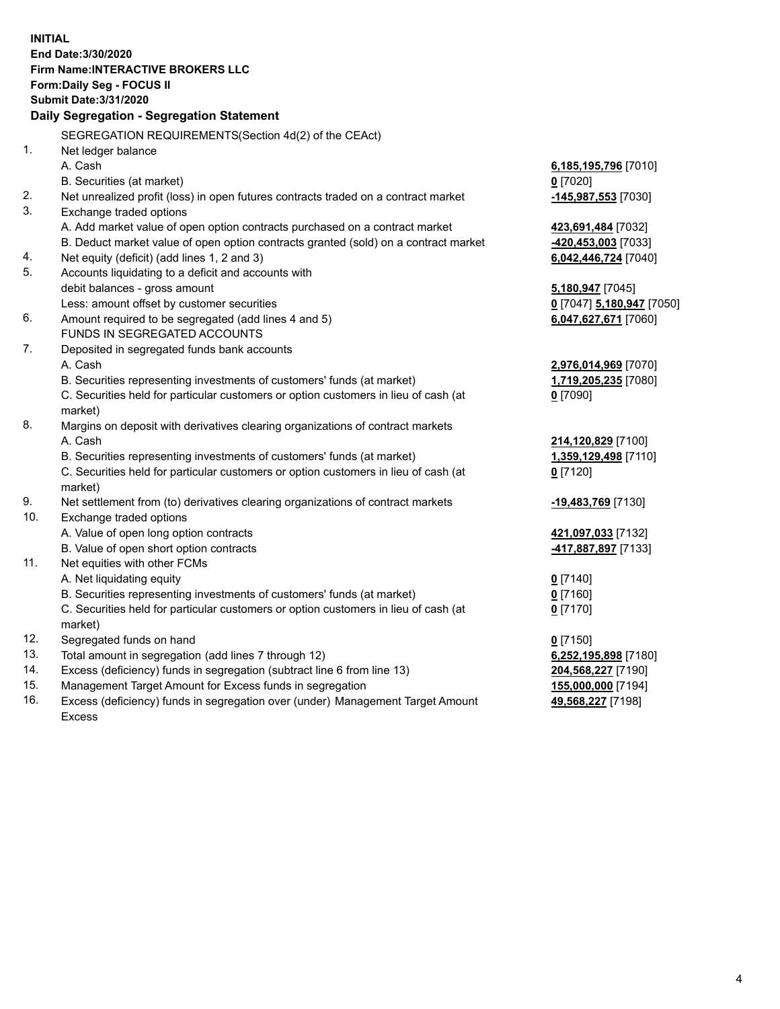**INITIAL End Date:3/30/2020 Firm Name:INTERACTIVE BROKERS LLC Form:Daily Seg - FOCUS II Submit Date:3/31/2020 Daily Segregation - Segregation Statement** SEGREGATION REQUIREMENTS(Section 4d(2) of the CEAct) 1. Net ledger balance A. Cash **6,185,195,796** [7010] B. Securities (at market) **0** [7020] 2. Net unrealized profit (loss) in open futures contracts traded on a contract market **-145,987,553** [7030] 3. Exchange traded options A. Add market value of open option contracts purchased on a contract market **423,691,484** [7032] B. Deduct market value of open option contracts granted (sold) on a contract market **-420,453,003** [7033] 4. Net equity (deficit) (add lines 1, 2 and 3) **6,042,446,724** [7040] 5. Accounts liquidating to a deficit and accounts with debit balances - gross amount **5,180,947** [7045] Less: amount offset by customer securities **0** [7047] **5,180,947** [7050] 6. Amount required to be segregated (add lines 4 and 5) **6,047,627,671** [7060] FUNDS IN SEGREGATED ACCOUNTS 7. Deposited in segregated funds bank accounts A. Cash **2,976,014,969** [7070] B. Securities representing investments of customers' funds (at market) **1,719,205,235** [7080] C. Securities held for particular customers or option customers in lieu of cash (at market) **0** [7090] 8. Margins on deposit with derivatives clearing organizations of contract markets A. Cash **214,120,829** [7100] B. Securities representing investments of customers' funds (at market) **1,359,129,498** [7110] C. Securities held for particular customers or option customers in lieu of cash (at market) **0** [7120] 9. Net settlement from (to) derivatives clearing organizations of contract markets **-19,483,769** [7130] 10. Exchange traded options A. Value of open long option contracts **421,097,033** [7132] B. Value of open short option contracts **-417,887,897** [7133] 11. Net equities with other FCMs A. Net liquidating equity **0** [7140] B. Securities representing investments of customers' funds (at market) **0** [7160] C. Securities held for particular customers or option customers in lieu of cash (at market) **0** [7170] 12. Segregated funds on hand **0** [7150] 13. Total amount in segregation (add lines 7 through 12) **6,252,195,898** [7180] 14. Excess (deficiency) funds in segregation (subtract line 6 from line 13) **204,568,227** [7190] 15. Management Target Amount for Excess funds in segregation **155,000,000** [7194] 16. Excess (deficiency) funds in segregation over (under) Management Target Amount Excess **49,568,227** [7198]